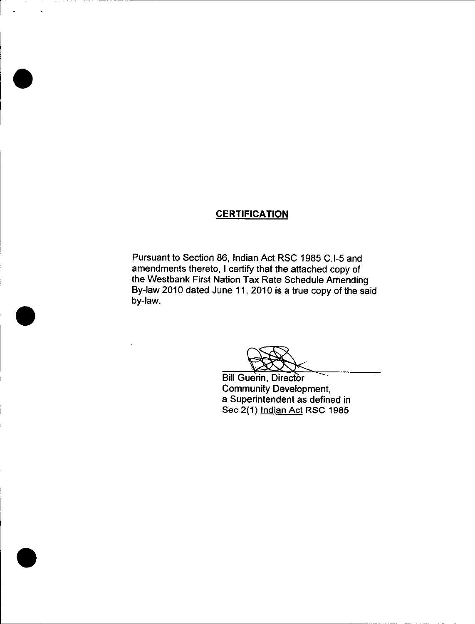# **CERTIFICATION**

Pursuant to Section 86, Indian Act RSC 1985 C.I-5 and amendments thereto, I certify that the attached copy of the Westbank First Nation Tax Rate Schedule Amending By -law 2010 dated June 11, 2010 is a true copy of the said by-law.

Bill Guerin, Director Community Development, a Superintendent as defined in Sec 2(1) Indian Act RSC 1985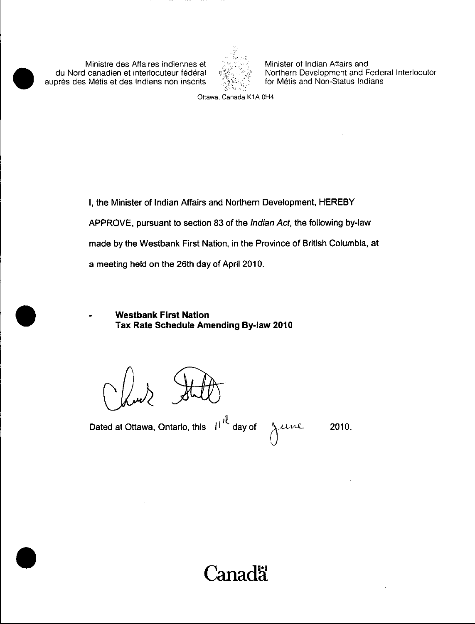Ministre des Affaires indiennes et du Nord canadien et interlocuteur federal auprès des Métis et des Indiens non inscrits



Minister of Indian Affairs and Northern Development and Federal Interlocutor for Métis and Non-Status Indians

Ottawa, Canada K1A OH4

I, the Minister of Indian Affairs and Northern Development, HEREBY APPROVE, pursuant to section 83 of the Indian Act, the following by -law made by the Westbank First Nation, in the Province of British Columbia, at a meeting held on the 26th day of April 2010.

Westbank First Nation Tax Rate Schedule Amending By -law 2010

Dated at Ottawa, Ontario, this  $||I^{\prime\prime}||$  day of

 $u$ re 2010.

 $\cup$ 

'anada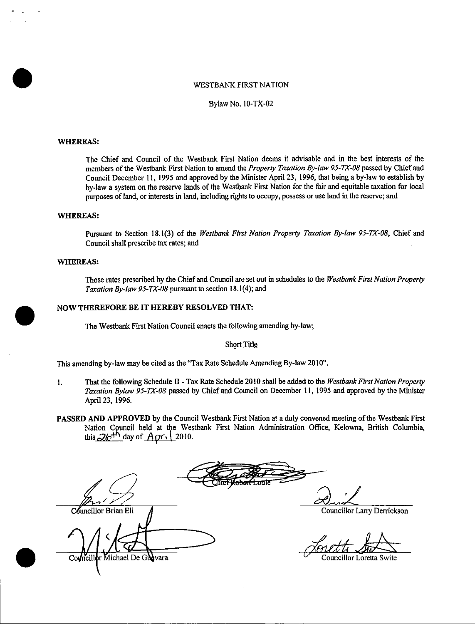#### WESTBANK FIRST NATION

Bylaw No. 10 -TX -02

#### WHEREAS:

The Chief and Council of the Westbank First Nation deems it advisable and in the best interests of the members of the Westbank First Nation to amend the Property Taxation By-law 95-TX-08 passed by Chief and Council December 11, 1995 and approved by the Minister April 23, 1996, that being a by -law to establish by by -law <sup>a</sup> system on the reserve lands of the Westbank First Nation for the fair and equitable taxation for local purposes of land, or interests in land, including rights to occupy, possess or use land in the reserve; and

### WHEREAS:

Pursuant to Section 18.1(3) of the Westbank First Nation Property Taxation By-law 95-TX-08, Chief and Council shall prescribe tax rates; and

### WHEREAS:

Those rates prescribed by the Chief and Council are set out in schedules to the Westbank First Nation Property Taxation By-law 95-TX-08 pursuant to section 18.1(4); and

### NOW THEREFORE BE IT HEREBY RESOLVED THAT:

The Westbank First Nation Council enacts the following amending by -law;

#### Short Title

This amending by-law may be cited as the "Tax Rate Schedule Amending By-law 2010".

- 1. That the following Schedule II Tax Rate Schedule 2010 shall be added to the Westbank First Nation Property Taxation Bylaw 95-TX-08 passed by Chief and Council on December 11, 1995 and approved by the Minister April 23, 1996.
- PASSED AND APPROVED by the Council Westbank First Nation at a duly convened meeting of the Westbank First Nation Council held at the Westbank First Nation Administration Office, Kelowna, British Columbia, this  $26^{th}$  day of  $Apr_1$  2010.

Councillor Brian Eli (Council Councillor Larry Derrickson Michael De Gudvara